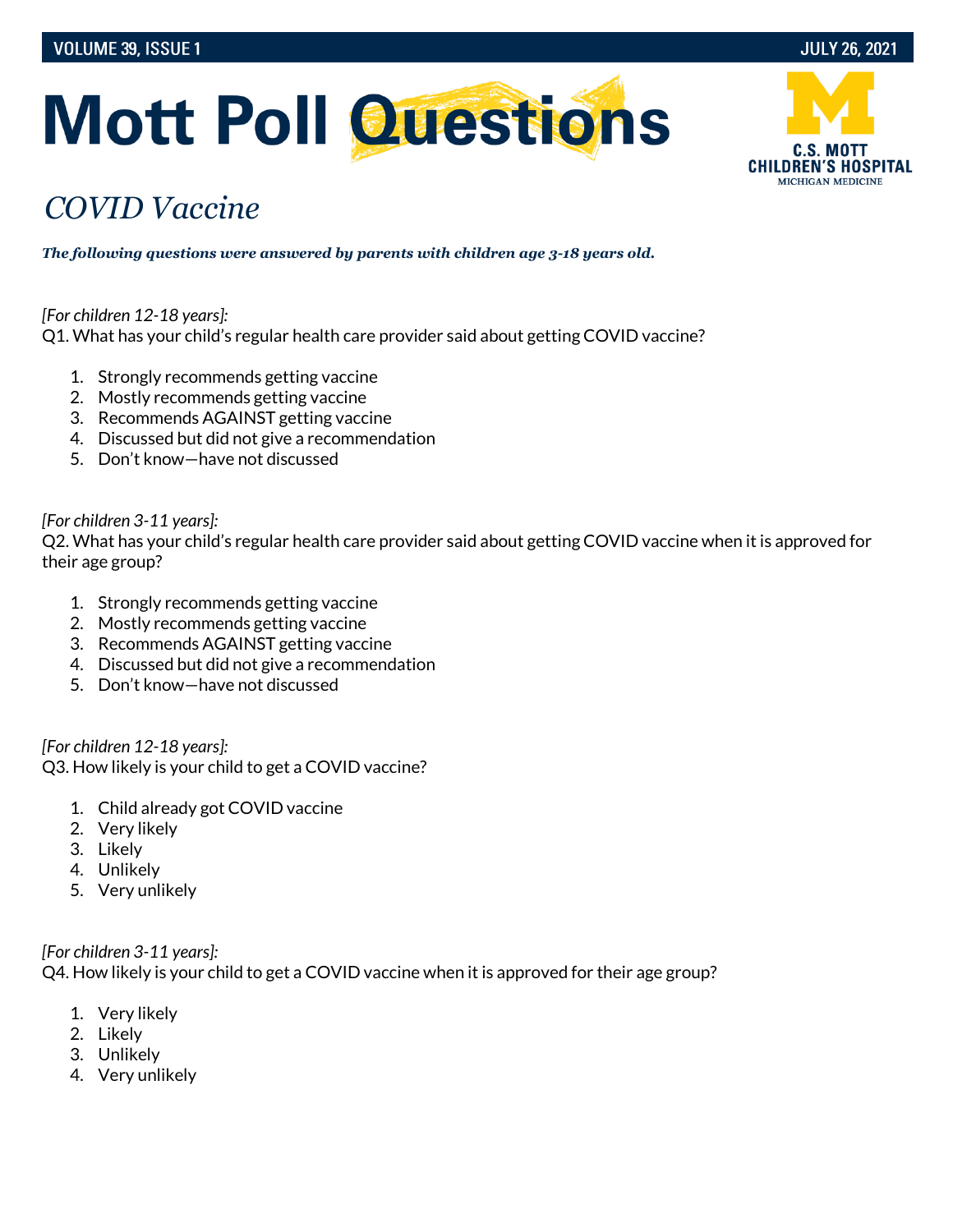# **Mott Poll Questions**

## *COVID Vaccine*

*The following questions were answered by parents with children age 3-18 years old.*

#### *[For children 12-18 years]:*

Q1. What has your child's regular health care provider said about getting COVID vaccine?

- 1. Strongly recommends getting vaccine
- 2. Mostly recommends getting vaccine
- 3. Recommends AGAINST getting vaccine
- 4. Discussed but did not give a recommendation
- 5. Don't know—have not discussed

#### *[For children 3-11 years]:*

Q2. What has your child's regular health care provider said about getting COVID vaccine when it is approved for their age group?

- 1. Strongly recommends getting vaccine
- 2. Mostly recommends getting vaccine
- 3. Recommends AGAINST getting vaccine
- 4. Discussed but did not give a recommendation
- 5. Don't know—have not discussed

*[For children 12-18 years]:* Q3. How likely is your child to get a COVID vaccine?

- 1. Child already got COVID vaccine
- 2. Very likely
- 3. Likely
- 4. Unlikely
- 5. Very unlikely

#### *[For children 3-11 years]:*

Q4. How likely is your child to get a COVID vaccine when it is approved for their age group?

- 1. Very likely
- 2. Likely
- 3. Unlikely
- 4. Very unlikely